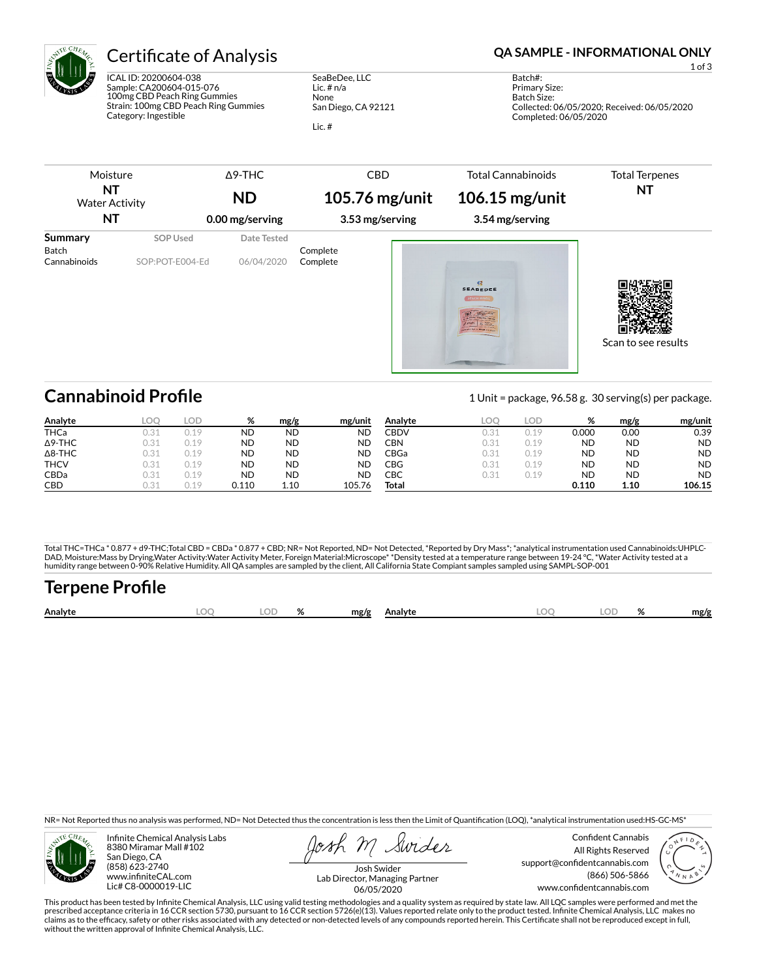

ICAL ID: 20200604-038 Sample: CA200604-015-076 100mg CBD Peach Ring Gummies Strain: 100mg CBD Peach Ring Gummies Category: Ingestible

SeaBeDee, LLC Lic. # n/a None San Diego, CA 92121 Lic. #

### Certificate of Analysis **Certificate of Analysis QA SAMPLE - INFORMATIONAL ONLY**

1 of 3

Batch#: Primary Size: Batch Size: Collected: 06/05/2020; Received: 06/05/2020 Completed: 06/05/2020

| Moisture                         |                             | $\Delta$ 9-THC            | <b>CBD</b>           | <b>Total Cannabinoids</b>           | <b>Total Terpenes</b> |
|----------------------------------|-----------------------------|---------------------------|----------------------|-------------------------------------|-----------------------|
| ΝT<br><b>Water Activity</b>      |                             | <b>ND</b>                 | 105.76 mg/unit       | 106.15 mg/unit                      | <b>NT</b>             |
| ΝT                               |                             | 0.00 mg/serving           | 3.53 mg/serving      | 3.54 mg/serving                     |                       |
| Summary<br>Batch<br>Cannabinoids | SOP Used<br>SOP:POT-E004-Ed | Date Tested<br>06/04/2020 | Complete<br>Complete | 深<br><b>SEABEDEE</b><br>PEACH RINGS | Scan to see results   |
|                                  |                             |                           |                      |                                     |                       |

## **Cannabinoid Profile** 1 Unit = package, 96.58 g. 30 serving(s) per package.

**Analyte LOQ LOD % mg/g mg/unit** THCa 0.31 0.19 ND ND ND Δ9-THC 0.31 0.19 ND ND ND Δ8-THC 0.31 0.19 ND ND ND THCV 0.31 0.19 ND ND ND CBDa 0.31 0.19 ND ND ND **CBD** 0.31 0.19 **0.110 1.10 105.76 Analyte LOQ LOD % mg/g mg/unit** CBDV 0.31 0.19 0.000 0.00 0.39 CBN 0.31 0.19 ND ND ND CBGa 0.31 0.19 ND ND ND CBG 0.31 0.19 ND ND ND CBC 0.31 0.19 ND ND ND **Total 0.110 1.10 106.15**

Total THC=THCa \* 0.877 + d9-THC;Total CBD = CBDa \* 0.877 + CBD; NR= Not Reported, ND= Not Detected, \*Reported by Dry Mass\*; \*analytical instrumentation used Cannabinoids:UHPLC-DAD, Moisture:Mass by Drying,Water Activity:Water Activity Meter, Foreign Material:Microscope\* \*Density tested at a temperature range between 19-24 °C, \*Water Activity tested at a<br>humidity range between 0-90% Relative Humi

# **Terpene Profile**

| Analyte | nr | $\sim$ | mg/g | Analvte | ገር<br>∼ | $\alpha$<br>$\sqrt{2}$ | mg/g |
|---------|----|--------|------|---------|---------|------------------------|------|
|         |    |        |      |         |         |                        |      |

NR= Not Reported thus no analysis was performed, ND= Not Detected thus the concentration is less then the Limit of Quantification (LOQ), \*analytical instrumentation used:HS-GC-MS\*



Infinite Chemical Analysis Labs 8380 Miramar Mall #102 San Diego, CA (858) 623-2740 www.infiniteCAL.com Lic# C8-0000019-LIC

Swides

Confident Cannabis All Rights Reserved support@confidentcannabis.com (866) 506-5866 www.condentcannabis.com



Josh Swider Lab Director, Managing Partner 06/05/2020

This product has been tested by Infinite Chemical Analysis, LLC using valid testing methodologies and a quality system as required by state law. All LQC samples were performed and met the prescribed acceptance criteria in 16 CCR section 5730, pursuant to 16 CCR section 5726(e)(13). Values reported relate only to the product tested. Infinite Chemical Analysis, LLC makes no<br>claims as to the efficacy, safety o without the written approval of Infinite Chemical Analysis, LLC.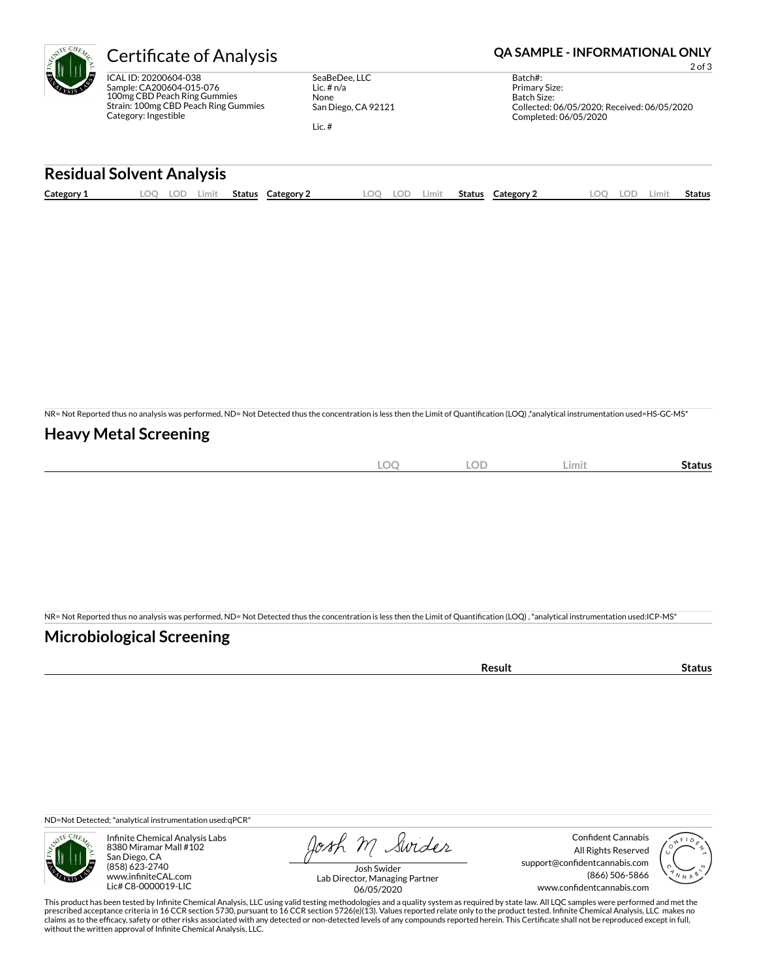ICAL ID: 20200604-038 Sample: CA200604-015-076 100mg CBD Peach Ring Gummies Strain: 100mg CBD Peach Ring Gummies Category: Ingestible

SeaBeDee, LLC Lic. # n/a None San Diego, CA 92121

Lic. #

### Certificate of Analysis **Certificate of Analysis QA SAMPLE - INFORMATIONAL ONLY**

2 of 3

Batch#: Primary Size: Batch Size: Collected: 06/05/2020; Received: 06/05/2020 Completed: 06/05/2020

#### **Residual Solvent Analysis**

| Category 1 | _OC | $\sim$<br>LO L' | Limit | <b>Status</b> | Category | LOO | .OF | Limit. | Status | Category 2 | $\Omega$ | LOD. | ∟imit | <b>Status</b> |
|------------|-----|-----------------|-------|---------------|----------|-----|-----|--------|--------|------------|----------|------|-------|---------------|
|            |     |                 |       |               |          |     |     |        |        |            |          |      |       |               |

NR= Not Reported thus no analysis was performed, ND= Not Detected thus the concentration is less then the Limit of Quantification (LOQ),\*analytical instrumentation used=HS-GC-MS\*

#### **Heavy Metal Screening**

| $-$ | $\sim$<br>) (<br>$\sim$ | $\cap \Gamma$<br>◡ | Limi | Status |
|-----|-------------------------|--------------------|------|--------|
|     |                         |                    |      |        |

NR= Not Reported thus no analysis was performed, ND= Not Detected thus the concentration is less then the Limit of Quantification (LOQ), \*analytical instrumentation used:ICP-MS\*

#### **Microbiological Screening**

| ` sult ∴ |  |
|----------|--|
|          |  |

ND=Not Detected; \*analytical instrumentation used:qPCR\*



Infinite Chemical Analysis Labs 8380 Miramar Mall #102 San Diego, CA (858) 623-2740 www.infiniteCAL.com Lic# C8-0000019-LIC

Josh M Swider

Confident Cannabis All Rights Reserved support@confidentcannabis.com (866) 506-5866 www.confidentcannabis.com



Josh Swider Lab Director, Managing Partner 06/05/2020

This product has been tested by Infinite Chemical Analysis, LLC using valid testing methodologies and a quality system as required by state law. All LQC samples were performed and met the prescribed acceptance criteria in 16 CCR section 5730, pursuant to 16 CCR section 5726(e)(13). Values reported relate only to the product tested. Infinite Chemical Analysis, LLC makes no<br>claims as to the efficacy, safety o without the written approval of Infinite Chemical Analysis, LLC.